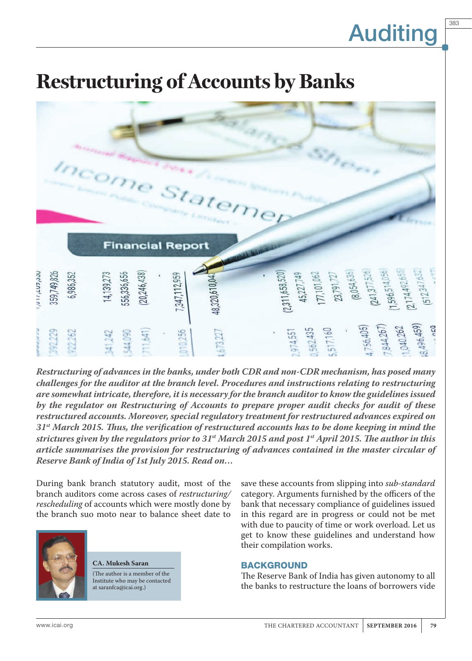383

### **Restructuring of Accounts by Banks**



*Restructuring of advances in the banks, under both CDR and non-CDR mechanism, has posed many challenges for the auditor at the branch level. Procedures and instructions relating to restructuring are somewhat intricate, therefore, it is necessary for the branch auditor to know the guidelines issued by the regulator on Restructuring of Accounts to prepare proper audit checks for audit of these restructured accounts. Moreover, special regulatory treatment for restructured advances expired on 31st March 2015. Thus, the verification of restructured accounts has to be done keeping in mind the strictures given by the regulators prior to 31st March 2015 and post 1st April 2015. The author in this article summarises the provision for restructuring of advances contained in the master circular of Reserve Bank of India of 1st July 2015. Read on…*

During bank branch statutory audit, most of the branch auditors come across cases of *restructuring/ rescheduling* of accounts which were mostly done by the branch suo moto near to balance sheet date to



**CA. Mukesh Saran** (The author is a member of the Institute who may be contacted at saranfca@icai.org.)

save these accounts from slipping into *sub-standard*  category. Arguments furnished by the officers of the bank that necessary compliance of guidelines issued in this regard are in progress or could not be met with due to paucity of time or work overload. Let us get to know these guidelines and understand how their compilation works.

### BACKGROUND

The Reserve Bank of India has given autonomy to all the banks to restructure the loans of borrowers vide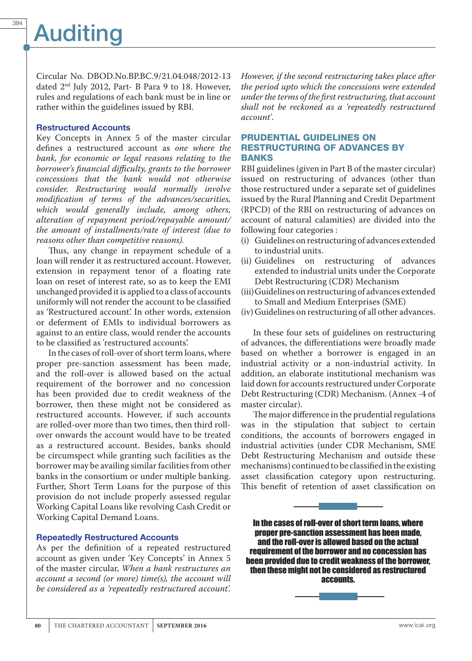Circular No. DBOD.No.BP.BC.9/21.04.048/2012-13 dated 2nd July 2012, Part- B Para 9 to 18. However, rules and regulations of each bank must be in line or rather within the guidelines issued by RBI.

#### Restructured Accounts

Key Concepts in Annex 5 of the master circular defines a restructured account as *one where the bank, for economic or legal reasons relating to the borrower's financial difficulty, grants to the borrower concessions that the bank would not otherwise consider. Restructuring would normally involve modification of terms of the advances/securities, which would generally include, among others, alteration of repayment period/repayable amount/ the amount of installments/rate of interest (due to reasons other than competitive reasons).* 

Thus, any change in repayment schedule of a loan will render it as restructured account. However, extension in repayment tenor of a floating rate loan on reset of interest rate, so as to keep the EMI unchanged provided it is applied to a class of accounts uniformly will not render the account to be classified as 'Restructured account'. In other words, extension or deferment of EMIs to individual borrowers as against to an entire class, would render the accounts to be classified as 'restructured accounts'.

In the cases of roll-over of short term loans, where proper pre-sanction assessment has been made, and the roll-over is allowed based on the actual requirement of the borrower and no concession has been provided due to credit weakness of the borrower, then these might not be considered as restructured accounts. However, if such accounts are rolled-over more than two times, then third rollover onwards the account would have to be treated as a restructured account. Besides, banks should be circumspect while granting such facilities as the borrower may be availing similar facilities from other banks in the consortium or under multiple banking. Further, Short Term Loans for the purpose of this provision do not include properly assessed regular Working Capital Loans like revolving Cash Credit or Working Capital Demand Loans.

### Repeatedly Restructured Accounts

As per the definition of a repeated restructured account as given under 'Key Concepts' in Annex 5 of the master circular, *When a bank restructures an account a second (or more) time(s), the account will be considered as a 'repeatedly restructured account'.* 

*However, if the second restructuring takes place after the period upto which the concessions were extended under the terms of the first restructuring, that account shall not be reckoned as a 'repeatedly restructured account'*.

### PRUDENTIAL GUIDELINES ON RESTRUCTURING OF ADVANCES BY BANKS

RBI guidelines (given in Part B of the master circular) issued on restructuring of advances (other than those restructured under a separate set of guidelines issued by the Rural Planning and Credit Department (RPCD) of the RBI on restructuring of advances on account of natural calamities) are divided into the following four categories :

- (i) Guidelines on restructuring of advances extended to industrial units.
- (ii) Guidelines on restructuring of advances extended to industrial units under the Corporate Debt Restructuring (CDR) Mechanism
- (iii)Guidelines on restructuring of advances extended to Small and Medium Enterprises (SME)
- (iv)Guidelines on restructuring of all other advances.

In these four sets of guidelines on restructuring of advances, the differentiations were broadly made based on whether a borrower is engaged in an industrial activity or a non-industrial activity. In addition, an elaborate institutional mechanism was laid down for accounts restructured under Corporate Debt Restructuring (CDR) Mechanism. (Annex -4 of master circular).

The major difference in the prudential regulations was in the stipulation that subject to certain conditions, the accounts of borrowers engaged in industrial activities (under CDR Mechanism, SME Debt Restructuring Mechanism and outside these mechanisms) continued to be classified in the existing asset classification category upon restructuring. This benefit of retention of asset classification on



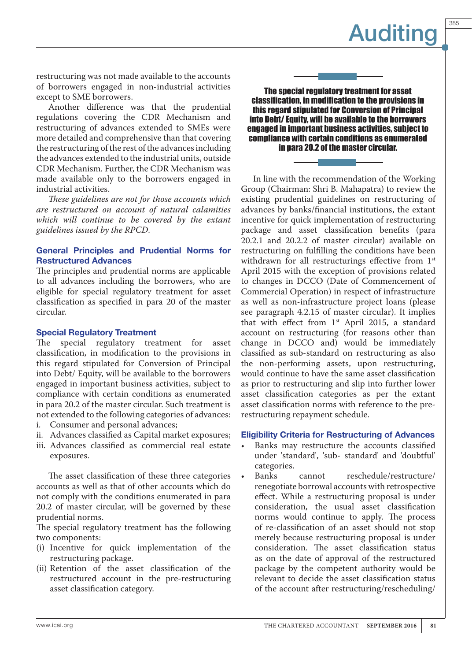385

restructuring was not made available to the accounts of borrowers engaged in non-industrial activities except to SME borrowers.

Another difference was that the prudential regulations covering the CDR Mechanism and restructuring of advances extended to SMEs were more detailed and comprehensive than that covering the restructuring of the rest of the advances including the advances extended to the industrial units, outside CDR Mechanism. Further, the CDR Mechanism was made available only to the borrowers engaged in industrial activities.

*These guidelines are not for those accounts which are restructured on account of natural calamities which will continue to be covered by the extant guidelines issued by the RPCD*.

### General Principles and Prudential Norms for Restructured Advances

The principles and prudential norms are applicable to all advances including the borrowers, who are eligible for special regulatory treatment for asset classification as specified in para 20 of the master circular.

### Special Regulatory Treatment

The special regulatory treatment for asset classification, in modification to the provisions in this regard stipulated for Conversion of Principal into Debt/ Equity, will be available to the borrowers engaged in important business activities, subject to compliance with certain conditions as enumerated in para 20.2 of the master circular. Such treatment is not extended to the following categories of advances:

- i. Consumer and personal advances;
- ii. Advances classified as Capital market exposures;
- iii. Advances classified as commercial real estate exposures.

The asset classification of these three categories accounts as well as that of other accounts which do not comply with the conditions enumerated in para 20.2 of master circular, will be governed by these prudential norms.

The special regulatory treatment has the following two components:

- (i) Incentive for quick implementation of the restructuring package.
- (ii) Retention of the asset classification of the restructured account in the pre-restructuring asset classification category.



The special regulatory treatment for asset classification, in modification to the provisions in this regard stipulated for Conversion of Principal into Debt/ Equity, will be available to the borrowers engaged in important business activities, subject to compliance with certain conditions as enumerated in para 20.2 of the master circular.

In line with the recommendation of the Working Group (Chairman: Shri B. Mahapatra) to review the existing prudential guidelines on restructuring of advances by banks/financial institutions, the extant incentive for quick implementation of restructuring package and asset classification benefits (para 20.2.1 and 20.2.2 of master circular) available on restructuring on fulfilling the conditions have been withdrawn for all restructurings effective from 1st April 2015 with the exception of provisions related to changes in DCCO (Date of Commencement of Commercial Operation) in respect of infrastructure as well as non-infrastructure project loans (please see paragraph 4.2.15 of master circular). It implies that with effect from  $1<sup>st</sup>$  April 2015, a standard account on restructuring (for reasons other than change in DCCO and) would be immediately classified as sub-standard on restructuring as also the non-performing assets, upon restructuring, would continue to have the same asset classification as prior to restructuring and slip into further lower asset classification categories as per the extant asset classification norms with reference to the prerestructuring repayment schedule.

### Eligibility Criteria for Restructuring of Advances

- Banks may restructure the accounts classified under 'standard', 'sub- standard' and 'doubtful' categories.<br>Banks
- cannot reschedule/restructure/ renegotiate borrowal accounts with retrospective effect. While a restructuring proposal is under consideration, the usual asset classification norms would continue to apply. The process of re-classification of an asset should not stop merely because restructuring proposal is under consideration. The asset classification status as on the date of approval of the restructured package by the competent authority would be relevant to decide the asset classification status of the account after restructuring/rescheduling/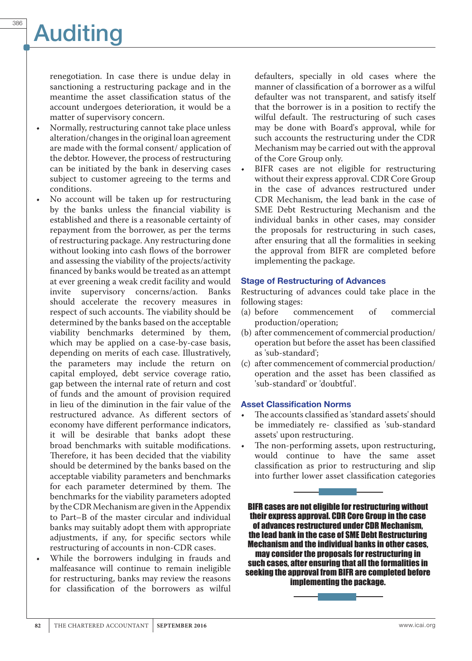renegotiation. In case there is undue delay in sanctioning a restructuring package and in the meantime the asset classification status of the account undergoes deterioration, it would be a matter of supervisory concern.

- Normally, restructuring cannot take place unless alteration/changes in the original loan agreement are made with the formal consent/ application of the debtor. However, the process of restructuring can be initiated by the bank in deserving cases subject to customer agreeing to the terms and conditions.
- No account will be taken up for restructuring by the banks unless the financial viability is established and there is a reasonable certainty of repayment from the borrower, as per the terms of restructuring package. Any restructuring done without looking into cash flows of the borrower and assessing the viability of the projects/activity financed by banks would be treated as an attempt at ever greening a weak credit facility and would invite supervisory concerns/action. should accelerate the recovery measures in respect of such accounts. The viability should be determined by the banks based on the acceptable viability benchmarks determined by them, which may be applied on a case-by-case basis, depending on merits of each case. Illustratively, the parameters may include the return on capital employed, debt service coverage ratio, gap between the internal rate of return and cost of funds and the amount of provision required in lieu of the diminution in the fair value of the restructured advance. As different sectors of economy have different performance indicators, it will be desirable that banks adopt these broad benchmarks with suitable modifications. Therefore, it has been decided that the viability should be determined by the banks based on the acceptable viability parameters and benchmarks for each parameter determined by them. The benchmarks for the viability parameters adopted by the CDR Mechanism are given in the Appendix to Part–B of the master circular and individual banks may suitably adopt them with appropriate adjustments, if any, for specific sectors while restructuring of accounts in non-CDR cases.
- While the borrowers indulging in frauds and malfeasance will continue to remain ineligible for restructuring, banks may review the reasons for classification of the borrowers as wilful

defaulters, specially in old cases where the manner of classification of a borrower as a wilful defaulter was not transparent, and satisfy itself that the borrower is in a position to rectify the wilful default. The restructuring of such cases may be done with Board's approval, while for such accounts the restructuring under the CDR Mechanism may be carried out with the approval of the Core Group only.

BIFR cases are not eligible for restructuring without their express approval. CDR Core Group in the case of advances restructured under CDR Mechanism, the lead bank in the case of SME Debt Restructuring Mechanism and the individual banks in other cases, may consider the proposals for restructuring in such cases, after ensuring that all the formalities in seeking the approval from BIFR are completed before implementing the package.

#### Stage of Restructuring of Advances

Restructuring of advances could take place in the following stages:<br>(a) before cor

- commencement of commercial production/operation;
- (b) after commencement of commercial production/ operation but before the asset has been classified as 'sub-standard';
- (c) after commencement of commercial production/ operation and the asset has been classified as 'sub-standard' or 'doubtful'.

#### Asset Classification Norms

- The accounts classified as 'standard assets' should be immediately re- classified as 'sub-standard assets' upon restructuring.
- The non-performing assets, upon restructuring, would continue to have the same asset classification as prior to restructuring and slip into further lower asset classification categories

BIFR cases are not eligible for restructuring without their express approval. CDR Core Group in the case of advances restructured under CDR Mechanism, the lead bank in the case of SME Debt Restructuring Mechanism and the individual banks in other cases, may consider the proposals for restructuring in such cases, after ensuring that all the formalities in seeking the approval from BIFR are completed before implementing the package.

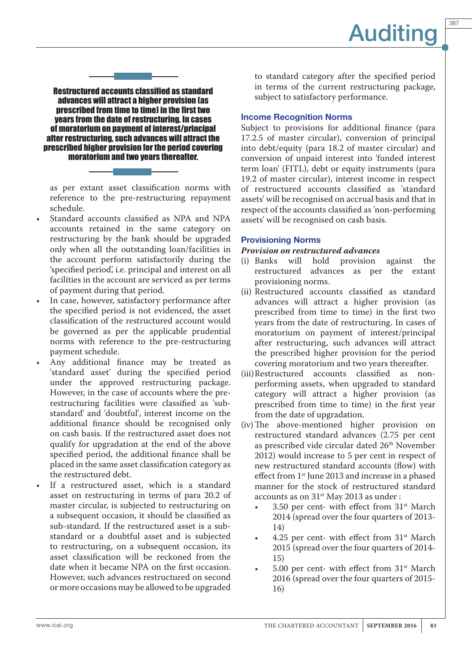387

Restructured accounts classified as standard advances will attract a higher provision (as prescribed from time to time) in the first two years from the date of restructuring. In cases of moratorium on payment of interest/principal after restructuring, such advances will attract the prescribed higher provision for the period covering moratorium and two years thereafter.

as per extant asset classification norms with reference to the pre-restructuring repayment schedule.

- Standard accounts classified as NPA and NPA accounts retained in the same category on restructuring by the bank should be upgraded only when all the outstanding loan/facilities in the account perform satisfactorily during the 'specified period', i.e. principal and interest on all facilities in the account are serviced as per terms of payment during that period.
- In case, however, satisfactory performance after the specified period is not evidenced, the asset classification of the restructured account would be governed as per the applicable prudential norms with reference to the pre-restructuring payment schedule.
- Any additional finance may be treated as 'standard asset' during the specified period under the approved restructuring package. However, in the case of accounts where the prerestructuring facilities were classified as 'substandard' and 'doubtful', interest income on the additional finance should be recognised only on cash basis. If the restructured asset does not qualify for upgradation at the end of the above specified period, the additional finance shall be placed in the same asset classification category as the restructured debt.
- If a restructured asset, which is a standard asset on restructuring in terms of para 20.2 of master circular, is subjected to restructuring on a subsequent occasion, it should be classified as sub-standard. If the restructured asset is a substandard or a doubtful asset and is subjected to restructuring, on a subsequent occasion, its asset classification will be reckoned from the date when it became NPA on the first occasion. However, such advances restructured on second or more occasions may be allowed to be upgraded

to standard category after the specified period in terms of the current restructuring package, subject to satisfactory performance.

### Income Recognition Norms

Subject to provisions for additional finance (para 17.2.5 of master circular), conversion of principal into debt/equity (para 18.2 of master circular) and conversion of unpaid interest into 'funded interest term loan' (FITL), debt or equity instruments (para 19.2 of master circular), interest income in respect of restructured accounts classified as 'standard assets' will be recognised on accrual basis and that in respect of the accounts classified as 'non-performing assets' will be recognised on cash basis.

### Provisioning Norms

### *Provision on restructured advances*

- (i) Banks will hold provision against the restructured advances as per the extant provisioning norms.
- (ii) Restructured accounts classified as standard advances will attract a higher provision (as prescribed from time to time) in the first two years from the date of restructuring. In cases of moratorium on payment of interest/principal after restructuring, such advances will attract the prescribed higher provision for the period covering moratorium and two years thereafter.
- (iii)Restructured accounts classified as nonperforming assets, when upgraded to standard category will attract a higher provision (as prescribed from time to time) in the first year from the date of upgradation.
- (iv)The above-mentioned higher provision on restructured standard advances (2.75 per cent as prescribed vide circular dated 26<sup>th</sup> November 2012) would increase to 5 per cent in respect of new restructured standard accounts (flow) with effect from 1<sup>st</sup> June 2013 and increase in a phased manner for the stock of restructured standard accounts as on  $31<sup>st</sup>$  May 2013 as under :
	- $\cdot$  3.50 per cent- with effect from 31<sup>st</sup> March 2014 (spread over the four quarters of 2013- 14)
	- 4.25 per cent- with effect from  $31<sup>st</sup>$  March 2015 (spread over the four quarters of 2014- 15)
	- 5.00 per cent- with effect from  $31<sup>st</sup>$  March 2016 (spread over the four quarters of 2015- 16)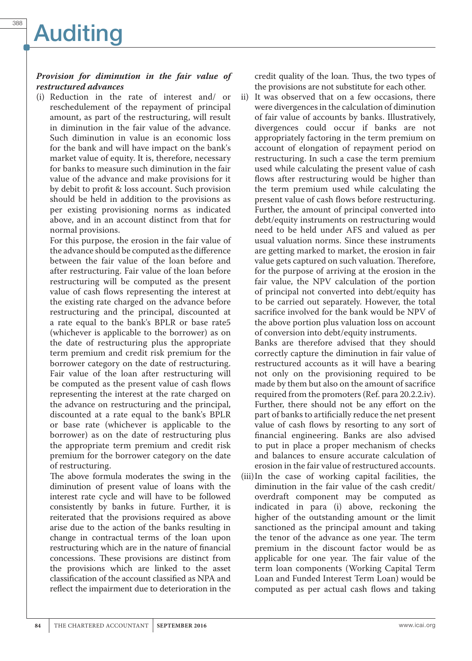### *Provision for diminution in the fair value of restructured advances*

(i) Reduction in the rate of interest and/ or reschedulement of the repayment of principal amount, as part of the restructuring, will result in diminution in the fair value of the advance. Such diminution in value is an economic loss for the bank and will have impact on the bank's market value of equity. It is, therefore, necessary for banks to measure such diminution in the fair value of the advance and make provisions for it by debit to profit & loss account. Such provision should be held in addition to the provisions as per existing provisioning norms as indicated above, and in an account distinct from that for normal provisions.

For this purpose, the erosion in the fair value of the advance should be computed as the difference between the fair value of the loan before and after restructuring. Fair value of the loan before restructuring will be computed as the present value of cash flows representing the interest at the existing rate charged on the advance before restructuring and the principal, discounted at a rate equal to the bank's BPLR or base rate5 (whichever is applicable to the borrower) as on the date of restructuring plus the appropriate term premium and credit risk premium for the borrower category on the date of restructuring. Fair value of the loan after restructuring will be computed as the present value of cash flows representing the interest at the rate charged on the advance on restructuring and the principal, discounted at a rate equal to the bank's BPLR or base rate (whichever is applicable to the borrower) as on the date of restructuring plus the appropriate term premium and credit risk premium for the borrower category on the date of restructuring.

The above formula moderates the swing in the diminution of present value of loans with the interest rate cycle and will have to be followed consistently by banks in future. Further, it is reiterated that the provisions required as above arise due to the action of the banks resulting in change in contractual terms of the loan upon restructuring which are in the nature of financial concessions. These provisions are distinct from the provisions which are linked to the asset classification of the account classified as NPA and reflect the impairment due to deterioration in the

credit quality of the loan. Thus, the two types of the provisions are not substitute for each other.

ii) It was observed that on a few occasions, there were divergences in the calculation of diminution of fair value of accounts by banks. Illustratively, divergences could occur if banks are not appropriately factoring in the term premium on account of elongation of repayment period on restructuring. In such a case the term premium used while calculating the present value of cash flows after restructuring would be higher than the term premium used while calculating the present value of cash flows before restructuring. Further, the amount of principal converted into debt/equity instruments on restructuring would need to be held under AFS and valued as per usual valuation norms. Since these instruments are getting marked to market, the erosion in fair value gets captured on such valuation. Therefore, for the purpose of arriving at the erosion in the fair value, the NPV calculation of the portion of principal not converted into debt/equity has to be carried out separately. However, the total sacrifice involved for the bank would be NPV of the above portion plus valuation loss on account of conversion into debt/equity instruments.

Banks are therefore advised that they should correctly capture the diminution in fair value of restructured accounts as it will have a bearing not only on the provisioning required to be made by them but also on the amount of sacrifice required from the promoters (Ref. para 20.2.2.iv). Further, there should not be any effort on the part of banks to artificially reduce the net present value of cash flows by resorting to any sort of financial engineering. Banks are also advised to put in place a proper mechanism of checks and balances to ensure accurate calculation of erosion in the fair value of restructured accounts.

(iii)In the case of working capital facilities, the diminution in the fair value of the cash credit/ overdraft component may be computed as indicated in para (i) above, reckoning the higher of the outstanding amount or the limit sanctioned as the principal amount and taking the tenor of the advance as one year. The term premium in the discount factor would be as applicable for one year. The fair value of the term loan components (Working Capital Term Loan and Funded Interest Term Loan) would be computed as per actual cash flows and taking